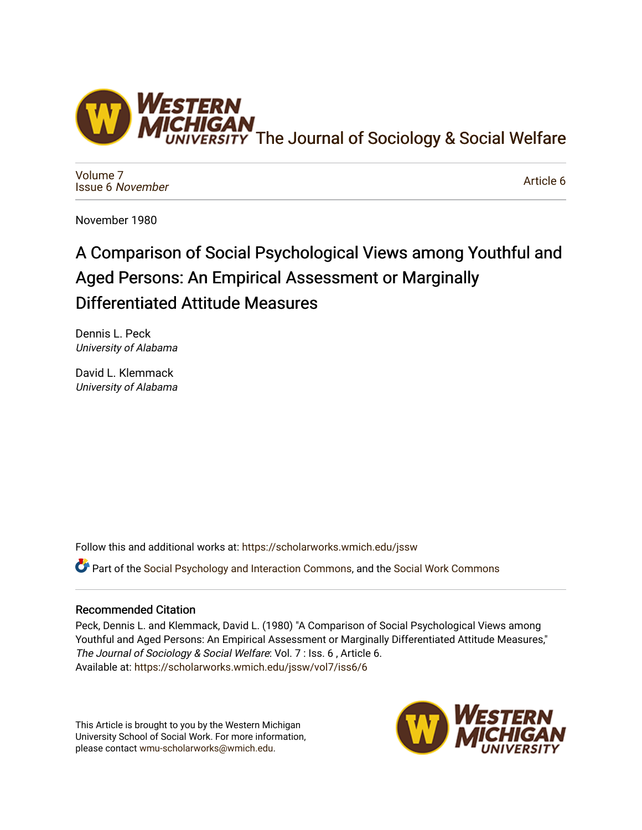

[Volume 7](https://scholarworks.wmich.edu/jssw/vol7) [Issue 6](https://scholarworks.wmich.edu/jssw/vol7/iss6) November

[Article 6](https://scholarworks.wmich.edu/jssw/vol7/iss6/6) 

November 1980

# A Comparison of Social Psychological Views among Youthful and Aged Persons: An Empirical Assessment or Marginally Differentiated Attitude Measures

Dennis L. Peck University of Alabama

David L. Klemmack University of Alabama

Follow this and additional works at: [https://scholarworks.wmich.edu/jssw](https://scholarworks.wmich.edu/jssw?utm_source=scholarworks.wmich.edu%2Fjssw%2Fvol7%2Fiss6%2F6&utm_medium=PDF&utm_campaign=PDFCoverPages) 

Part of the [Social Psychology and Interaction Commons,](http://network.bepress.com/hgg/discipline/430?utm_source=scholarworks.wmich.edu%2Fjssw%2Fvol7%2Fiss6%2F6&utm_medium=PDF&utm_campaign=PDFCoverPages) and the [Social Work Commons](http://network.bepress.com/hgg/discipline/713?utm_source=scholarworks.wmich.edu%2Fjssw%2Fvol7%2Fiss6%2F6&utm_medium=PDF&utm_campaign=PDFCoverPages) 

# Recommended Citation

Peck, Dennis L. and Klemmack, David L. (1980) "A Comparison of Social Psychological Views among Youthful and Aged Persons: An Empirical Assessment or Marginally Differentiated Attitude Measures," The Journal of Sociology & Social Welfare: Vol. 7 : Iss. 6 , Article 6. Available at: [https://scholarworks.wmich.edu/jssw/vol7/iss6/6](https://scholarworks.wmich.edu/jssw/vol7/iss6/6?utm_source=scholarworks.wmich.edu%2Fjssw%2Fvol7%2Fiss6%2F6&utm_medium=PDF&utm_campaign=PDFCoverPages) 

This Article is brought to you by the Western Michigan University School of Social Work. For more information, please contact [wmu-scholarworks@wmich.edu.](mailto:wmu-scholarworks@wmich.edu)

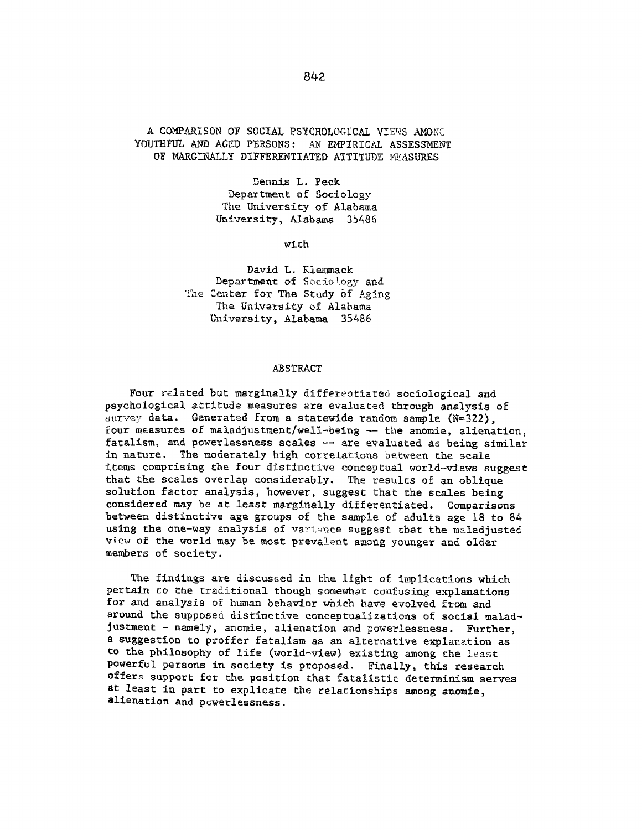# **A** COMPARISON OF **SOCIAL PSYCHOLOGICAL** VIEWS **AMONG YOUTHFUL AND AGED PERSONS:** AN EMPIRICAL **ASSESSMENT** OF MARGINALLY DIFFERENTIATED **ATTITUDE HEASURES**

Dennis L. Peck Department of Sociology The University of Alabama University, Alabama **35486**

with

David L. Klemmack Department of Sociology and The Center for The Study **bf** Aging The University of Alabama University, Alabama 35486

#### ,ABSTRACT

Four related but marginally differentiated sociological and psychological attitude measures are evaluated through analysis of survey data. Generated from a statewide random sample **(N=322),** four measures **of** maladjustment/well-being **--** the anomie, alienation, fatalism, and powerlessness scales **--** are evaluated as being similar in nature. The moderately high correlations between the scale items comprising the four distinctive conceptual world-views suggest that the scales overlap considerably. The results of an oblique solution factor analysis, however, suggest that the scales being considered may be at least marginally differentiated. Comparisons between distinctive age groups of the sample of adults age **18** to 84 using the one-way analysis of variance suggest that the maladjusted view of the world may be most prevalent among younger and older members of society.

The findings are discussed in the light of implications which pertain to the traditional though somewhat confusing explanations for and analysis of human behavior **which** have evolved from and around the supposed distinctive conceptualizations of social maladjustment **-** namely, anomie, alienation and powerlessness. Further, a suggestion to proffer fatalism as an alternative explanation as to the philosophy of life (world-view) existing among the least powerful persons in society is proposed. Finally, this research offers support for the position that fatalistic determinism serves at least in part to explicate the relationships among anomie, alienation and powerlessness.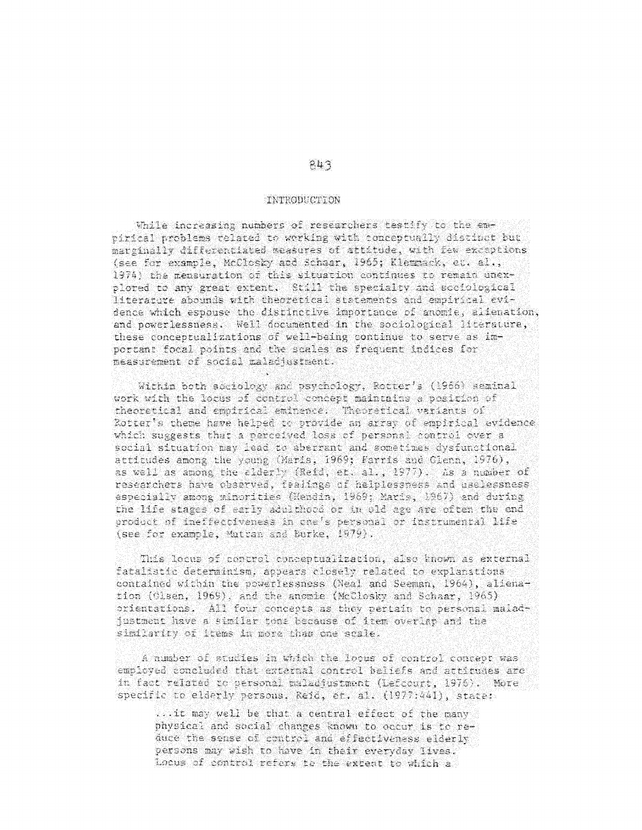### TNTRODUCTION

While increasing numbers of researchers testify to the enpirical problems related to working with conceptually distinct but marginally differentiated measures of attitude, with few exceptions (see for example, McClosky and Schaar, 1965; Klemmack, et. al., 1974) the mensuration of this situation continues to remain unexplored to any great extent. Still the specialty and sociological literature abounds with theoretical statements and empirical evidence which espouse the distinctive importance of anomie, alienation, and powerlessness. Well documented in the sociological literature, these conceptualizations of well-being continue to serve as important focal points and the scales as frequent indices for measurement of social malacjustment.

Within both sociology and psychology, Rotter's (1966) seminal work with the locus of control concept maintains a position of theoretical and empirical eminence. Theoretical variants of Rotter's theme have helped to provide an array of empirical evidence which suggests that a perceived loss of personal control over a social situation may lead to aberrant and sometimes dysfunctional attitudes among the young (Maris, 1969; Farris and Glenn, 1976), as well as among the elderly (Reid, er. al., 1977). As a number of researchers have observed, feadings of helplessness and uselessness especially among minorities (Hendin, 1969; Maris, 1967) and during the life stages of early adulthood or in old age are often the end product of ineffectiveness in cae's personal or instrumental life (see for example, Mutran and Burke, 1979).

This locus of control conceptualization, also known as external fatalistic determinism, appears closely related to explanations contained within the powerlessness (Neal and Seeman, 1964), alienation (Glsen, 1969), and the anomie (McClosky and Schaar, 1965) prientations. All four concepts as they pertain to personal maladjustment have a similar tons because of item overlap and the similarity of items in more than one scale.

A number of studies in which the locus of control concept was employed concluded that external control beliefs and attitudes are in fact related to personal maladiustment (Lefcourt, 1975). More specific to elderly persons, Reid, et. al. (1977:441), state:

... it may well be that a central effect of the many physical and social changes known to occur is to reduce the sense of control and effectiveness elderly persons may wish to have in their everyday lives. Locus of control refers to the extent to which a

# $843$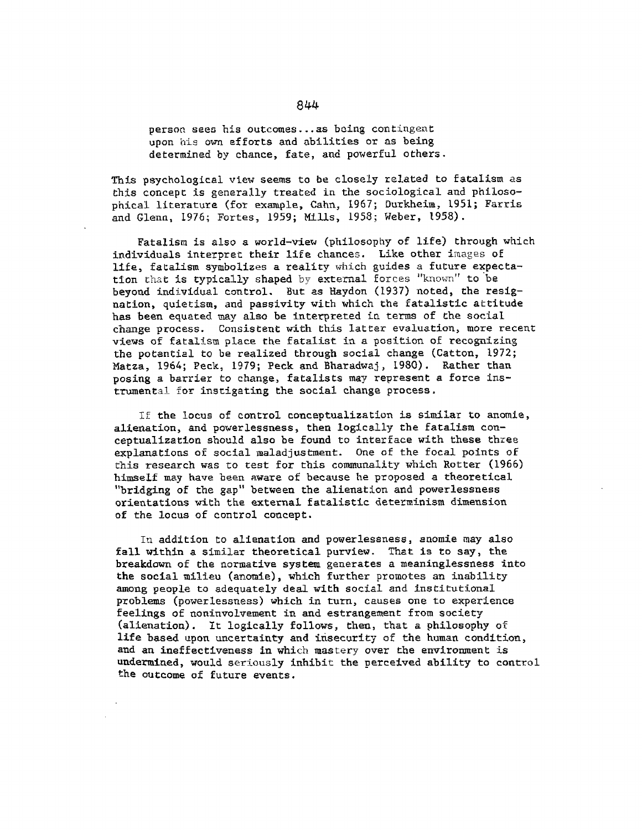person sees his outcomes... as being contingent upon his own efforts and abilities or as being determined by chance, fate, and powerful others.

This psychological view seems to be closely related to fatalism as this concept is generally treated in the sociological and philosophical literature (for example, Cahn, 1967; Durkheim, 1951; Farris and Glenn, 1976; Fortes, 1959; Mills, 1958; Weber, 1958).

Fatalism is also a world-view (philosophy of life) through which individuals interpret their life chances. Like other images of life, fatalism symbolizes a reality which guides a future expectation that is typically shaped by external forces "known" to be beyond individual control. But as faydon (1937) noted, the resignation, quietism, and passivity with which the fatalistic attitude has been equated may also be interpreted in terms of the social change process. Consistent with this latter evaluation, more recent views of fatalism place the fatalist in a position of recognizing the potential to be realized through social change (Catton, 1972; Matza, 1964; Peck, 1979; Peck and Bharadwaj, 1980). Rather than posing a barrier to change, fatalists may represent a force instrumental for instigating the social change process.

If the locus of control conceptualization is similar to anomie, alienation, and powerlessness, then logically the fatalism conceptualization should also be found to interface with these three explanations of social maladjustment. One of the focal points of this research was to test for this communality which Rotter (1966) himself may have been aware of because he proposed a theoretical "bridging of the gap" between the alienation and powerlessness orientations with the external fatalistic determinism dimension of the locus of control concept.

In addition to alienation and powerlessness, anomie may also fall within a similar theoretical purview. That is to say, the breakdown of the normative system generates a meaninglessness into the social milieu (anomie), which further promotes an inability among people to adequately deal with social and institutional problems (powerlessness) which in turn, causes one to experience feelings of noninvolvement in and estrangement from society (alienation). It logically follows, then, that a philosophy of life based upon uncertainty and insecurity of the human condition, and an ineffectiveness in which mastery over the environment is undermined, would seriously inhibit the perceived ability to control the outcome of future events.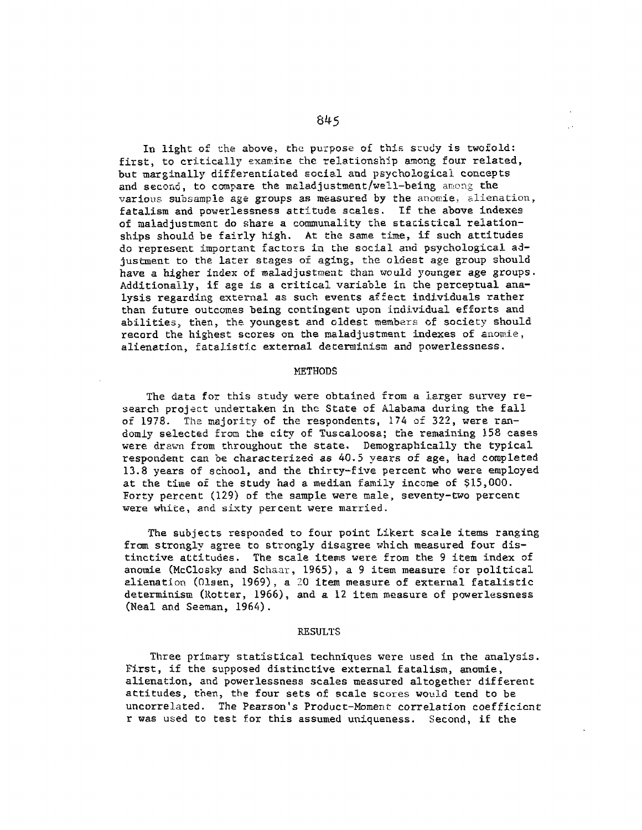In light of the above, the purpose of **this** scudy is twofold: first, to critically examine the relationship among four related, but marginally differentiated social and psychological concepts and second, to compare the maladjustment/well-being among the various subsample age groups as measured **by** the anomie, alienation, fatalism and powerlessness attitude scales. If the above indexes of maladjustment do share a communality the statistical relationships should be fairly **high.** At the same time, if such attitudes do represent important factors in **the** social and psychological adjustment to the later stages **of aging,** the oldest **age** group should have a higher index of maladjustment than would younger age groups. Additionally, if age is a critical variable in the perceptual analysis regarding external as such events affect individuals rather than future outcomes being contingent upon individual efforts and abilities, then, the youngest and oldest members of society should record the highest scores on the maladjustment indexes of anomie, alienation, fatalistic external **determinism** and powerlessness.

#### **METHODS**

The data for this study were obtained from a larger survey research project undertaken in **the** State of Alabama during the fall of **1978.** The majority of the respondents, 174 **of 322,** were randomly selected from the city of Tuscaloosa; the remaining **158** cases were drawn from throughout the state. Demographically the typical respondent can **be** characterized as 40.5 years of age, had completed **13.8** years of school, and the thirty-five percent who were employed at the time of the study had a median family income of **\$15,000.** Forty percent **(129)** of the sample were male, seventy-two percent were white, and sixty percent were married.

The subjects responded to four point Likert scale items ranging from strongly agree to strongly disagree which measured four distinctive attitudes. The scale items were from the **9** item index of anomie (McClosky and Schaay, **1965),** a **9** item measure for political alienation (Olsen, **1969),** a **20** item measure of external fatalistic determinism (Rotter, **1966),** and a **12** item measure of powerlessness (Neal and Seeman, 1964).

#### **RESULTS**

Three primary statistical techniques were used in the analysis. First, if the supposed distinctive external fatalism, anomie, alienation, and powerlessness scales measured altogether different attitudes, then, the four sets of scale scores would tend to be uncorrelated. The Pearson's Product-Moment correlation coefficient r was used to test for this assumed uniqueness. Second, if the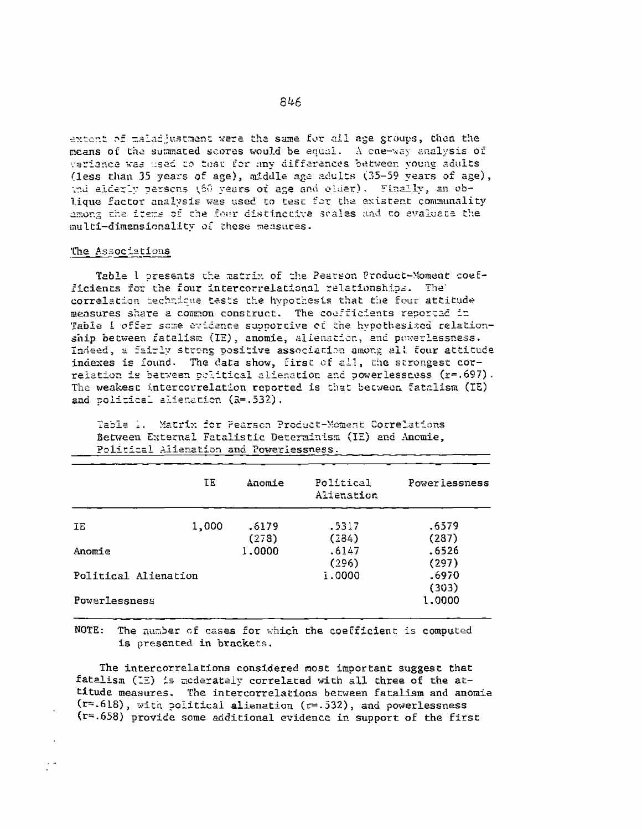extent of maladjustment were the same for all age groups, then the means of the summated scores would be equal. A coe-way analysis of variance was used to test for any differences between young adults (less than 35 years of age), middle age adults (35-59 years of age), the elderly persons (60 years of age and older). Finally, an oblique factor analysis was used to test for the existent communality among the items of the four distinctive scales and to evaluate the multi-dimensionality of these measures.

#### The Associations

Table 1 presents the matrix of the Pearson Product-Moment coefficients for the four intercorrelational relationships. The correlation technique tasts the hypothesis that the four attitude measures share a common construct. The coefficients reported in Table I offer some evidence supportive of the hypothesized relationship between fatalism (IE), anomie, alienation, and powerlessness. Indeed, a fairly strong positive association among all four attitude indexes is found. The data show, first of all, the strongest correlation is between political alienation and powerlessness (r=.697). The weakest intercorrelation reported is that between fatalism (IE) and political alienation (R=.532).

|                      | ΙE.   | Anomie         | Political<br>Alienation | Power lessness  |
|----------------------|-------|----------------|-------------------------|-----------------|
| IΕ                   | 1,000 | .6179<br>(278) | .5317<br>(284)          | .6579<br>(287)  |
| Anomie               |       | 1,0000         | .6147<br>(296)          | .6526<br>(297)  |
| Political Alienation |       |                | 1.0000                  | .6970           |
| Powerlessness        |       |                |                         | (303)<br>1,0000 |

Table 1. Matrix for Pearson Product-Moment Correlations Between External Fatalistic Determinism (IE) and Anomie, Political Alienation and Powerlessness.

NOTE: The number of cases for which the coefficient is computed is presented in brackets.

The intercorrelations considered most important suggest that fatalism (IE) is moderately correlated with all three of the attitude measures. The intercorrelations between fatalism and anomie  $(r=.618)$ , with political alienation  $(r=.532)$ , and powerlessness (r=.658) provide some additional evidence in support of the first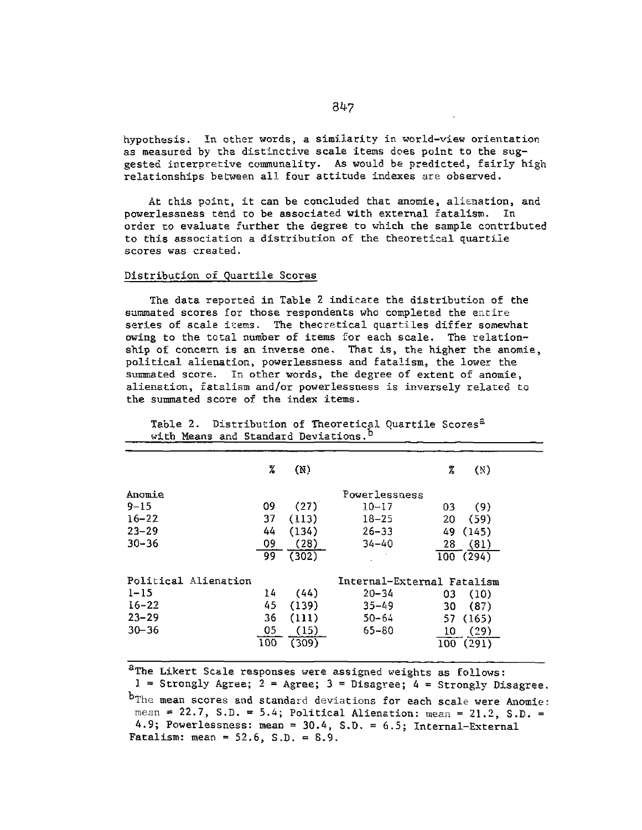hypothesis. in other words, a similarity in world-view orientation as measured by the distinctive scale items does point to the suggested interpretive communality. As would be predicted, fairly high relationships between all four attitude indexes are observed.

At this point, it can be concluded that anomie, alienation, and powerlessness tend to be associated with external fatalism. In order to evaluate further the degree to which the sample contributed to this association a distribution of the theoretical cuartile scores was created.

## Distribution of Quartile Scores

The data reported in Table 2 indicate the distribution of the summated scores for those respondents who completed the entire series of scale items. The theoretical quartiles differ somewhat owing to the total number of items for each scale. The relationship of concern is an inverse one. That is, the higher the anomie, political alienation, powerlessness and fatalism, the lower the summated score. In other words, the degree of extent of anomie, alienation, fatalism and/or powerlessness is inversely related to the summated score of the index items.

|                      | X   | (N)   |                            | %   | (N)      |
|----------------------|-----|-------|----------------------------|-----|----------|
| Anomie               |     |       | Powerlessness              |     |          |
| $9 - 15$             | 09  | (27)  | $10 - 17$                  | 03  | (9)      |
| $16 - 22$            | 37  | (113) | $18 - 25$                  | 20  | (59)     |
| $23 - 29$            | 44  | (134) | $26 - 33$                  | 49. | (145)    |
| $30 - 36$            | 09  | (28)  | $34 - 40$                  | 28  | (81)     |
|                      | 99  | (302) |                            |     | 100(294) |
| Political Alienation |     |       | Internal-External Fatalism |     |          |
| $1 - 15$             | 14  | (44)  | $20 - 34$                  | 03  | (10)     |
| $16 - 22$            | 45  | (139) | $35 - 49$                  | 30  | (87)     |
| $23 - 29$            | 36  | (111) | $50 - 64$                  | 57  | (165)    |
| $30 - 36$            | 05  | (15)  | $65 - 80$                  | 10  | (29)     |
|                      | 100 | (309) |                            | 100 | (291)    |
|                      |     |       |                            |     |          |

Table 2. Distribution of Theoretical Quartile Scores<sup>2</sup> with Means and Standard Deviations.<sup>b</sup>

aThe Likert Scale responses were assigned weights as follows:  $1 =$  Strongly Agree;  $2 =$  Agree;  $3 =$  Disagree;  $4 =$  Strongly Disagree.

b<sub>The mean scores and standard deviations</sub> for each scale were Anomie: mean **=** 22.7, S.D. **-** 5.4; Political Alienation: mean **=** 21.2, S.D. <sup>=</sup> 4.9; Powerlessness: mean =  $30.4$ , S.D. =  $6.5$ ; Internal-External Fatalism: mean = **52.6,** S.D. = 8.9.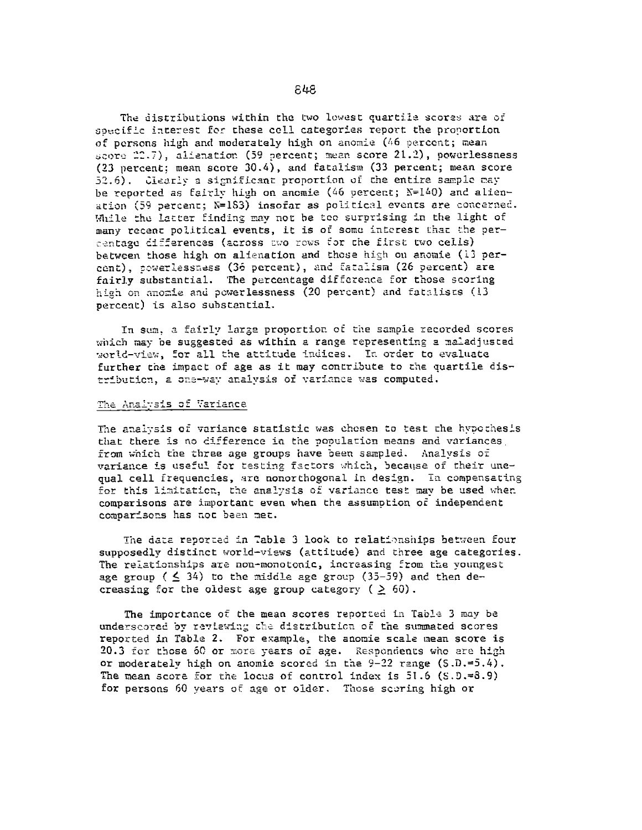The distributions within the two lowest quartile scores are of specific interest for these coll categories report the proportion of persons high and moderately high on anomie (46 percent; mean score 22.7), alienation (59 percent; mean score 21.2), powerlessness (23 percent; mean score 30.4), and fatalism (33 percent; mean score 52.6). Clearly a significant proportion of the entire sample may be reported as fairly high on anomie (46 percent;  $N=140$ ) and alienation (59 percent; N=183) insofar as political events are concerned. While the latter finding may not be too surprising in the light of many recent political events, it is of some interest that the percentage differences (across two rows for the first two cells) between those high on alienation and those high on anomie (13 percent), powerlessness (36 percent), and fatalism (26 percent) are fairly substantial. The percentage difference for those scoring high on anomie and powerlessness (20 percent) and fatalists (13 percent) is also substantial.

In sum, a fairly large proportion of the sample recorded scores which may be suggested as within a range representing a maladjusted world-view, for all the attitude indices. In order to evaluate further the impact of age as it may contribute to the quartile distribution, a one-way analysis of variance was computed.

#### The Analysis of Variance

The analysis of variance statistic was chosen to test the hypothesis that there is no difference in the population means and variances from which the three age groups have been sampled. Analysis of variance is useful for testing factors which, because of their unequal cell frequencies, are nonorthogonal in design. In compensating for this limitation, the analysis of variance test may be used when comparisons are important even when the assumption of independent comparisons has not been met.

The data reported in Table 3 look to relationships between four supposedly distinct world-views (attitude) and three age categories. The relationships are non-monotonic, increasing from the voungest age group ( $\leq$  34) to the middle age group (35-59) and then decreasing for the oldest age group category ( $\geq 60$ ).

The importance of the mean scores reported in Table 3 may be underscored by reviewing the distribution of the summated scores reported in Table 2. For example, the anomie scale mean score is 20.3 for those 60 or more years of age. Respondents who are high or moderately high on anomic scored in the 9-22 range  $(S.D.=5.4)$ . The mean score for the locus of control index is  $51.6$  (S.D.=8.9) for persons 60 years of age or older. Those scoring high or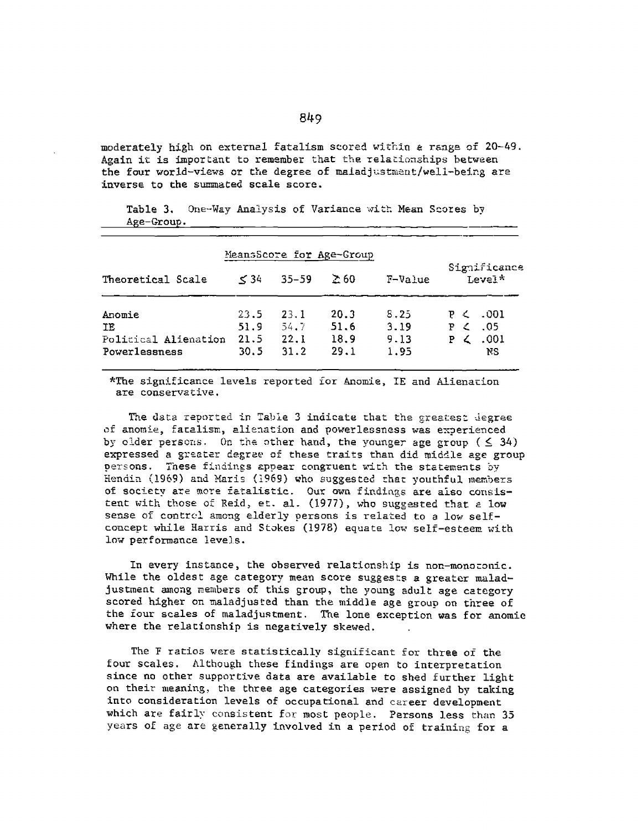moderately high on external fatalism scored within a range of 20-49. Again it is important to remember that the relationships between the four world-views or the degree of maladjustment/well-being are inverse to the sunmated scale score.

Table 3. One-Way Analysis of Variance witt Mean Scores by Age-Group.

| MeansScore for Age-Group |           |           |             |         |                        |          |  |
|--------------------------|-----------|-----------|-------------|---------|------------------------|----------|--|
| Theoretical Scale        | $\leq$ 34 | $35 - 59$ | $\Sigma$ 60 | F-Value | Significance<br>Level* |          |  |
| Anomie                   | 23.5      | 23.1      | 20.3        | 8.25    | F<                     | P < .001 |  |
| ΙE                       | 51.9      | 54.7      | 51.6        | 3.19    |                        | - 05     |  |
| Political Alienation     | 21.5      | 22.1      | 18.9        | 9.13    | P <sub>1</sub>         | .001     |  |
| Powerlessness            | 30.5      | 31.2      | 29.1        | 1.95    |                        | ΝS       |  |

\*The significance levels reported for Anomie, IE and Alienation are conservative.

The data reported in Table 3 indicate that the greatest degree of anomie, fatalism, alienation and powerlessness was experienced by older persons. On the other hand, the younger age group  $($   $\leq$  34) expressed a greater degree of these traits than did middle age group persons. These findings appear congruent with the statements by Hendin (1969) and Maris (1969) who suggested that youthful members of society are more Fatalistic. Our own findings are also consistent with those of Reid, et. al. (1977), who suggested that a low sense of control among elderly persons is related to a low selfconcept while Harris and Stakes (1978) equate low self-esteem with low performance levels.

In every instance, the observed relationship is non-monotonic. While the oldest age category mean score suggests a greater maladjustment among members of this group, the young adult age category scored higher on maladjusted than the middle age group on three of the four scales of maladjustment. The lone exception was for anomie where the relationship is negatively skewed.

The F ratios were statistically significant for three of the four scales. Although these findings are open to interpretation since no other supportive data are available to shed further light on their meaning, the three age categories were assigned by taking into consideration levels of occupational and career development which are fairly consistent for most people. Persons less than 35 years of age are generally involved in a period of training for a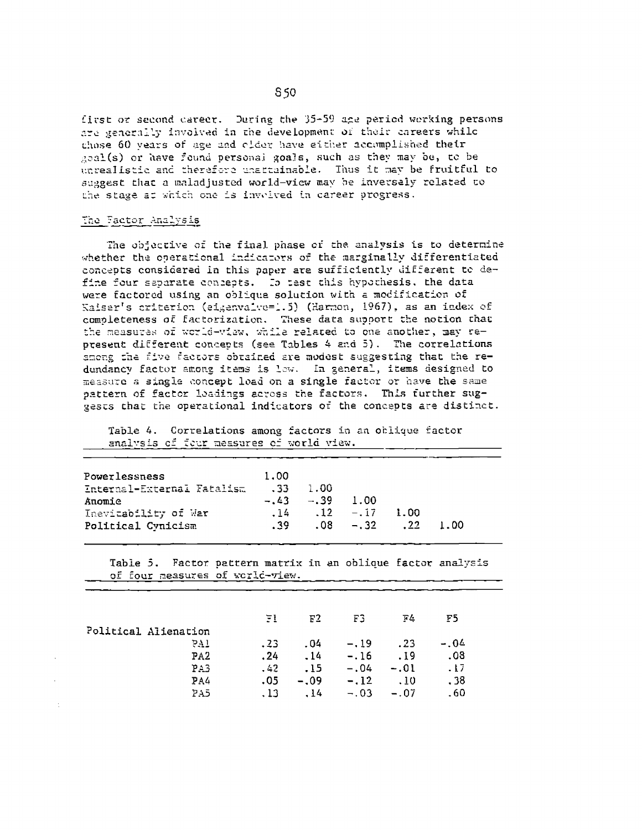first or second career. During the 35-59 age period working persons are generally involved in the development of their careers while chose 60 vears of age and older have either accomplished their geal(s) or have found personal goals, such as they may be, to be unrealistic and therefore unattainable. Thus it may be fruitful to suggest that a maladjusted world-view may be inversaly related to the stage at which one is involved in career progress.

## The Factor Analysis

The objective of the final phase of the analysis is to determine whether the operational indicators of the marginally differentiated concepts considered in this paper are sufficiently different to define four separate contepts. Io test this hypothesis, the data were factored using an oblique solution with a modification of Kaiser's criterion (eigenvalue=1.5) (Harmon, 1967), as an index of completeness of factorization. These data support the notion that the measures of world-view, while related to one another, may represent different concepts (see Tables 4 and 5). The correlations among the five factors obtained are modest suggesting that the redundancy factor among items is low. In general, items designed to measure a single concept load on a single factor or have the same pattern of factor loadings across the factors. This further suggests that the operational indicators of the concepts are distinct.

Table 4. Correlations among factors in an oblique factor analysis of four measures of world view.

| Powerlessness              | 1.00  |            |                               |       |
|----------------------------|-------|------------|-------------------------------|-------|
| Enternal-External Fatalism | $-33$ | -1.00      |                               |       |
| Anomie                     |       | $-.43-.39$ | . 1.00                        |       |
| Inevitability of War       |       |            | $.14 \t .12 \t - .17 \t 1.00$ |       |
| Political Cynicism         |       |            | $.39 \t .08 \t - .32 \t .22$  | -1.00 |

Table 5. Factor pattern matrix in an oblique factor analysis of four measures of world-view.

|                      | ΞI   | F2     | FG     | 下午     | F5      |
|----------------------|------|--------|--------|--------|---------|
| Political Alienation |      |        |        |        |         |
| 57T                  | .23  | .04    | $-19$  | .23    | $-0.04$ |
| PA <sub>2</sub>      | .24  | .14    | $-.16$ | .19    | .08     |
| PA3                  | .42  | .15    | $-.04$ | $-.01$ | .17     |
| PA4                  | .05  | $-.09$ | $-.12$ | .10    | . 38    |
| PA5                  | . 13 | .14    | $-.03$ | $-.07$ | . 60    |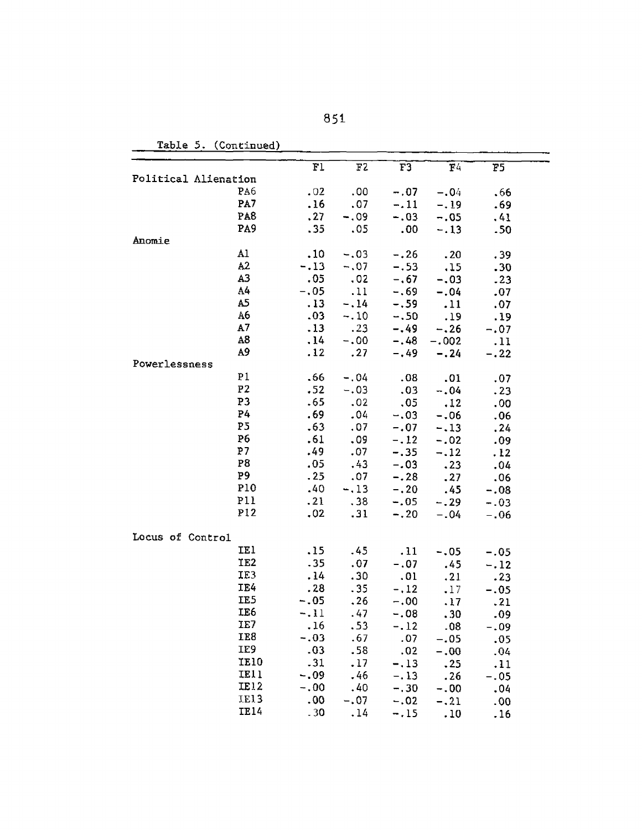| Table 5. | (Continued) |
|----------|-------------|
|          |             |

|                      |                 | Fl     | F2                            | F3     | F4      | F5     |  |
|----------------------|-----------------|--------|-------------------------------|--------|---------|--------|--|
| Political Alienation |                 |        |                               |        |         |        |  |
|                      | PA6             | .02    | .00                           | $-.07$ | $-.04$  | .66    |  |
|                      | PA7             | .16    | .07                           | $-.11$ | $-.19$  | .69    |  |
|                      | PA <sub>8</sub> | .27    | $-.09$                        | $-.03$ | $-.05$  | .41    |  |
|                      | PA9             | .35    | .05                           | .00    | $-.13$  | .50    |  |
| Anomie               |                 |        |                               |        |         |        |  |
|                      | Al              | .10    | $-.03$                        | $-.26$ | .20     | .39    |  |
|                      | A <sub>2</sub>  | $-.13$ | $-.07$                        | $-.53$ | .15     | .30    |  |
|                      | A <sub>3</sub>  | .05    | $\overline{\phantom{0}}$ .02  | $-.67$ | $-.03$  | .23    |  |
|                      | A4              | $-.05$ | .11                           | $-.69$ | $-.04$  | .07    |  |
|                      | A5              | .13    | $-.14$                        | $-.59$ | .11     | .07    |  |
|                      | A6              | .03    | $-.10$                        | $-.50$ | .19     | .19    |  |
|                      | A7              | .13    | $\overline{\phantom{0}}$ . 23 | $-.49$ | $-.26$  | $-.07$ |  |
|                      | A <sub>8</sub>  | .14    | $-.00$                        | $-.48$ | $-.002$ | .11    |  |
|                      | A <sub>9</sub>  | .12    | $\ldots$ 27                   | $-,49$ | $-0.24$ | $-.22$ |  |
| Powerlessness        |                 |        |                               |        |         |        |  |
|                      | P <sub>1</sub>  | .66    | $-.04$                        | .08    | .01     | .07    |  |
|                      | P <sub>2</sub>  | .52    | $-.03$                        | .03    | $-.04$  | .23    |  |
|                      | P <sub>3</sub>  | .65    | .02                           | .05    | .12     | .00    |  |
|                      | P4              | .69    | .04                           | $-.03$ | $-0.06$ | .06    |  |
|                      | P <sub>5</sub>  | .63    | .07                           | $-.07$ | $-.13$  | .24    |  |
|                      | P <sub>6</sub>  | .61    | .09                           | $-.12$ | $-.02$  | .09    |  |
|                      | P <sub>7</sub>  | .49    | .07                           | $-.35$ | $-.12$  | .12    |  |
|                      | P <sub>8</sub>  | .05    | .43                           | $-.03$ | .23     | .04    |  |
|                      | P <sub>9</sub>  | .25    | .07                           | $-.28$ | .27     | .06    |  |
|                      | <b>P10</b>      | .40    | $-.13$                        | $-.20$ | .45     | $-.08$ |  |
|                      | P11             | .21    | .38                           | $-.05$ | $-.29$  | $-.03$ |  |
|                      | PI2             | .02    | .31                           | $-.20$ | $-.04$  | $-.06$ |  |
|                      |                 |        |                               |        |         |        |  |
| Locus of Control     |                 |        |                               |        |         |        |  |
|                      | IE1             | .15    | .45                           | .11    | $-.05$  | $-.05$ |  |
|                      | IE <sub>2</sub> | .35    | .07                           | $-.07$ | .45     | $-.12$ |  |
|                      | IE3             | .14    | .30                           | .01    | .21     | .23    |  |
|                      | IE4             | .28    | .35                           | $-.12$ | .17     | $-.05$ |  |
|                      | IE5             | $-.05$ | .26                           | $-.00$ | .17     | .21    |  |
|                      | IE <sub>6</sub> | $-.11$ | .47                           | $-.08$ | .30     | -09    |  |
|                      | IE7             | .16    | .53                           | $-.12$ | .08     | $-.09$ |  |
|                      | IE8             | $-.03$ | .67                           | .07    | $-.05$  | .05    |  |
|                      | IE9             | .03    | .58                           | .02    | $-0.00$ | .04    |  |
|                      | <b>IE10</b>     | .31    | .17                           | $-.13$ | .25     | .11    |  |
|                      | <b>IE11</b>     | $-.09$ | .46                           | $-.13$ | .26     | $-.05$ |  |
|                      | IE12            | $-.00$ | .40                           | $-.30$ | $-.00$  | .04    |  |
|                      | IE13            | .00    | $-.07$                        | $-.02$ | $-.21$  | .00    |  |
|                      | IE14            | .30    | .14                           | $-.15$ | .10     | .16    |  |
|                      |                 |        |                               |        |         |        |  |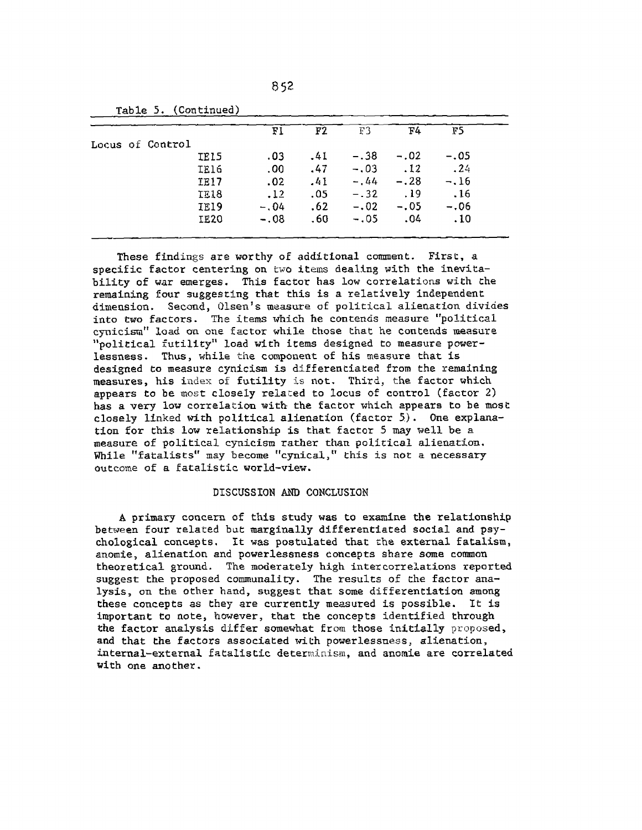| Table 5. (Continued)    |             |        |       |        |        |        |  |
|-------------------------|-------------|--------|-------|--------|--------|--------|--|
|                         |             | Fl     | F2    | ፑጓ     | F4     | 17 S   |  |
| <b>Locus of Control</b> |             |        |       |        |        |        |  |
|                         | IELS        | .03    | $-41$ | $-.38$ | $-.02$ | $-.05$ |  |
|                         | <b>IE16</b> | .00.   | .47   | $-.03$ | .12    | .24    |  |
|                         | <b>IE17</b> | .02    | .41   | $-.44$ | $-.28$ | $-.16$ |  |
|                         | IE18        | .12    | .05   | $-.32$ | .19    | .16    |  |
|                         | IE19        | $-.04$ | .62   | $-.02$ | $-.05$ | $-.06$ |  |
|                         | <b>IE20</b> | $-.08$ | .60   | $-.05$ | 04     | .10    |  |

**852**

These findings are worthy of additional comment. First, a specific factor centering on two items dealing with the inevitability of war emerges. This factor has low correlations with the remaining four suggesting that this is a relatively independent dimension. Second, Olsen's measure of political alienation divides into two factors. The items which he contends measure "political cynicism" load on one factor while those that he contends measure "political futility" load with items designed to measure powerlessness. Thus, while the component of his measure that is designed to measure cynicism is differentiated from the remaining measures, his index of futility is not. Third, the factor which appears to be most closely related to locus of control (factor 2) has a very low correlation with the factor which appears to be most closely linked with political alienation (factor 5). One explanation for this low relationship is that factor 5 may well be a measure of political cynicism rather than political alienation. While "fatalists" may become "cynical," this is not a necessary outcome of a fatalistic world-view.

## DISCUSSION AND CONCLUSION

A primary concern of this study was to examine the relationship between four related but marginally differentiated social and psychological concepts. It was postulated that the external fatalism, anomie, alienation and powerlessness concepts share some common theoretical ground. The moderately high intercorrelations reported suggest the proposed communality. The results of the factor analysis, on the other hand, suggest that some differentiation among these concepts as they are currently measured is possible. It is important to note, however, that the concepts identified through the factor analysis differ somewhat from those initially proposed, and that the factors associated with powerlessness, alienation, internal-external fatalistic determinism, and anomie are correlated with one another.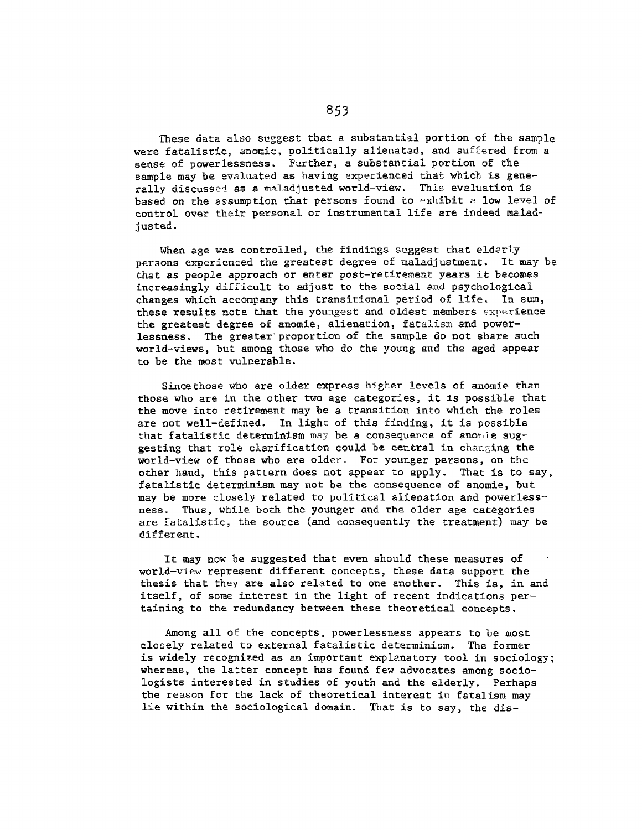These data also suggest that a substantial portion of the sample were fatalistic, anomic, politically alienated, and suffered from a sense of powerlessness. Further, a substantial portion of the sample may be evaluated as having experienced that which is generally discussed as a maladjusted world-view. This evaluation is based on the assumption that persons found to exhibit a low level of control over their personal or instrumental life are indeed maladjusted.

When age was controlled, the findings suggest that elderly persons experienced the greatest degree of maladjustment. It may be that as people approach or enter post-recirement years it becomes increasingly difficult to adjust to the social and psychological changes which accompany this transitional period of life. In sum, these results note that the youngest and oldest members experience the greatest degree of anomie, alienation, fatalism and powerlessness. The greater proportion of the sample do not share such world-views, but among those who do the young and the aged appear to be the most vulnerable.

Sinoethose who are older express higher levels of anomie than those who are in the other two age categories, it is possible that the move into retirement may be a transition into which the roles are not well-defined. In light of this finding, it is possible that fatalistic determinism may be a consequence of anomie suggesting that role clarification could be central in changing the world-view of those who are older. For younger persons, on the other hand, this pattern does not appear to apply. That is to say, fatalistic determinism may not be the consequence of anomie, but may be more closely related to political alienation and powerlessness. Thus, while both the younger and the older age categories are fatalistic, the source (and consequently the treatment) may be different.

It may now be suggested that even should these measures of world-view represent different concepts, these data support the thesis that they are also related to one another. This is, in and itself, of some interest in the light of recent indications pertaining to the redundancy between these theoretical concepts.

Among all of the concepts, powerlessness appears to be most closely related to external fatalistic determinism. The former is widely recognized as an important explanatory tool in sociology; whereas, the latter concept has found few advocates among sociologists interested in studies of youth and the elderly. Perhaps the reason for the lack of theoretical interest in fatalism may lie within the sociological domain. That is to say, the dis-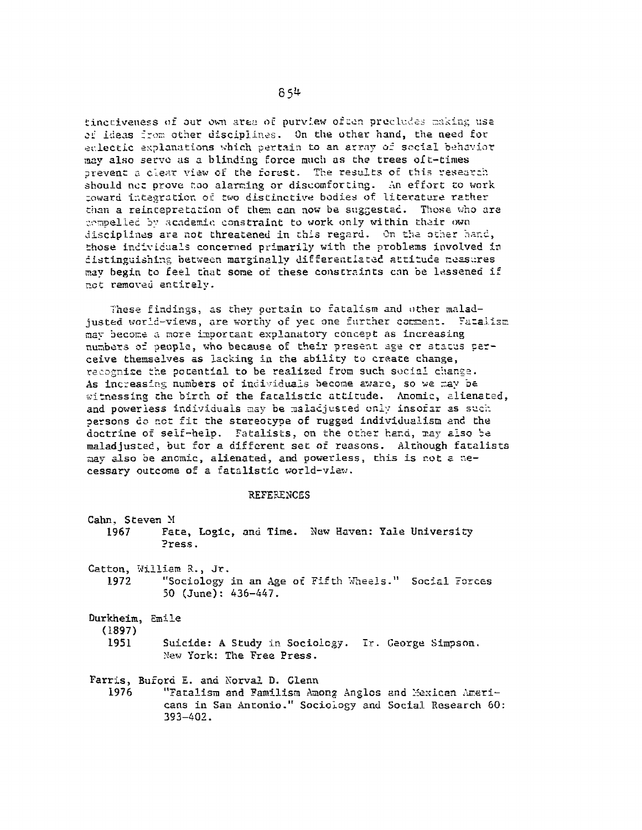tinctiveness of our own area of purview often precludes making use of ideas from other disciplines. On the other hand, the need for eclectic explanations which pertain to an array of social behavior may also serve as a blinding force much as the trees oft-times prevent a clear view of the forest. The results of this research should not prove too alarming or discomforting. An effort to work toward integration of two distinctive bodies of literature rather than a reintepretation of them can now be suggested. Those who are compelled by academic constraint to work only within their own disciplines are not threatened in this regard. On the other hand, those individuals concerned primarily with the problems involved in distinguishing between marginally differentiated attitude neasures may begin to feel that some of these constraints can be lessened if not removed entirely.

These findings, as they oertain to fatalism and other maladjusted world-views, are worthy of yet one further comment. Fatalism may become a more important explanatory concept as increasing numbers of people, who because of their present age or status perceive themselves as lacking in the ability to create change, recognize the potential to be realized from such social change. As increasing numbers of individuals become aware, so we may be witnessing the birth of the fatalistic attitude. Anomic, alienated, and powerless individuals may be maladjusted only insofar as such persons do not fit the stereotype of rugged individualism and the doctrine of self-help. Fatalists, on the other hand, may also be maladjusted, but for a different set of reasons. Although fatalists may also be anomic, alienated, and powerless, this is not a necessary outcome of a fatalistic world-view.

#### **REFERENCES**

| Cahn, Steven M<br>1967 —  | Fate, Logic, and Time. New Haven: Yale University<br>Press.                                     |
|---------------------------|-------------------------------------------------------------------------------------------------|
|                           | Catton, William R., Jr.                                                                         |
| 1972                      | "Sociology in an Age of Fifth Wheels." Social Forces<br>50 $(June): 436-447$ .                  |
| Durkheim, Emile<br>(1897) |                                                                                                 |
| 1951                      | Suicide: A Study in Sociology. Ir. Ceorge Simpson.<br>New York: The Free Press.                 |
| 1976 —                    | Farris, Buford E. and Norval D. Glenn<br>"Fatalism and Familism Among Anglos and Mexican Ameri- |

cans in San Antonio." Sociology and Social Research 60:  $393 - 402$ .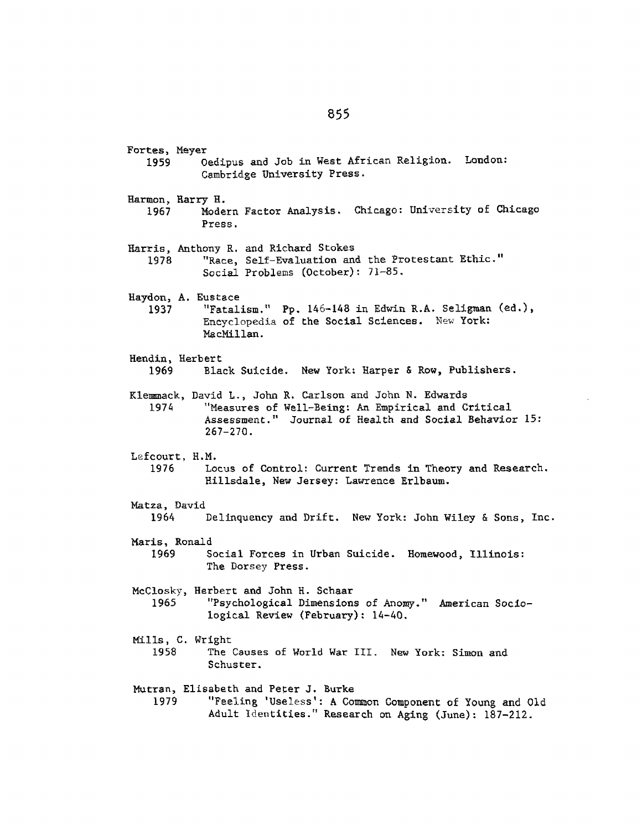Fortes, Meyer 1959 Oedipus and Job in West African Religion. London: Cambridge University Press. Harmon, Harry H. 1967 Harris, Anthony R. and Richard Stokes 1978 Haydon, **A.** Eustace **1937** Modern Factor Analysis. Chicago: University of Chicago Press. "Race, Self-Evaluation and the Protestant Ethic." Social Problems (October): **71-85.** "Fatalism." Pp. 146-148 in Edwin R.A. Seligman (ed.), Encyclopedia of the Social Sciences. New York: MacMillan. Hendin, Herbert **1969** Black Suicide. New York: Harper **&** Row, Publishers. Klemmack, David L., John R. Carlson and John N. Edwards "Measures of Well-Being: An Empirical and Critical Assessment." Journal **of** Health and Social Behavior **15:** 267-270. Lefcourt, H.M. 1976 Locus of Control: Current Trends in Theory and Research. Hillsdale, New Jersey: Lawrence Erlbaum. Matza, David 1964 Delinquency and Drift. New York: John Wiley & Sons, Inc. Maris, Ronald 1969 Social Forces in Urban Suicide. Homewood, Illinois: The Dorsey Press. McClosky, Herbert and John H. Schaar 1965 Mills, C. Wright 1958 "Psychological Dimensions of Anomy." American Soctological Review (February): 14-40. The Causes of World War III. New York: Simon and Schuster. Mutran, Elisabeth and Peter J. Burke 1979 "Feeling 'Useless': A Common Component of Young and Old Adult Identities." Research on Aging (June): 187-212. 1974